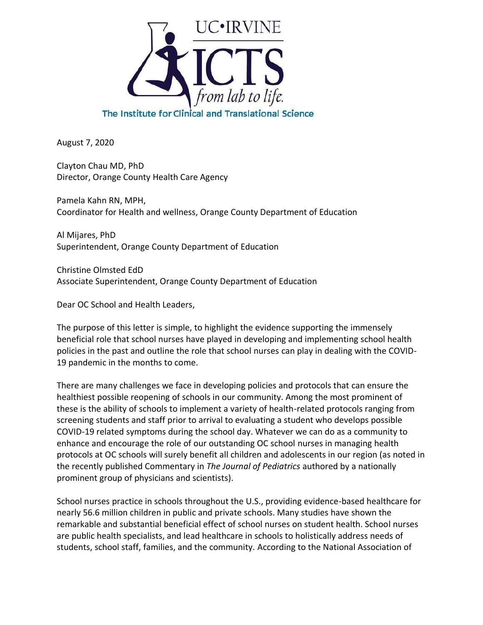

August 7, 2020

Clayton Chau MD, PhD Director, Orange County Health Care Agency

Pamela Kahn RN, MPH, Coordinator for Health and wellness, Orange County Department of Education

Al Mijares, PhD Superintendent, Orange County Department of Education

Christine Olmsted EdD Associate Superintendent, Orange County Department of Education

Dear OC School and Health Leaders,

The purpose of this letter is simple, to highlight the evidence supporting the immensely beneficial role that school nurses have played in developing and implementing school health policies in the past and outline the role that school nurses can play in dealing with the COVID-19 pandemic in the months to come.

There are many challenges we face in developing policies and protocols that can ensure the healthiest possible reopening of schools in our community. Among the most prominent of these is the ability of schools to implement a variety of health-related protocols ranging from screening students and staff prior to arrival to evaluating a student who develops possible COVID-19 related symptoms during the school day. Whatever we can do as a community to enhance and encourage the role of our outstanding OC school nurses in managing health protocols at OC schools will surely benefit all children and adolescents in our region (as noted in the recently published Commentary in *The Journal of Pediatrics* authored by a nationally prominent group of physicians and scientists).

School nurses practice in schools throughout the U.S., providing evidence-based healthcare for nearly 56.6 million children in public and private schools. Many studies have shown the remarkable and substantial beneficial effect of school nurses on student health. School nurses are public health specialists, and lead healthcare in schools to holistically address needs of students, school staff, families, and the community. According to the National Association of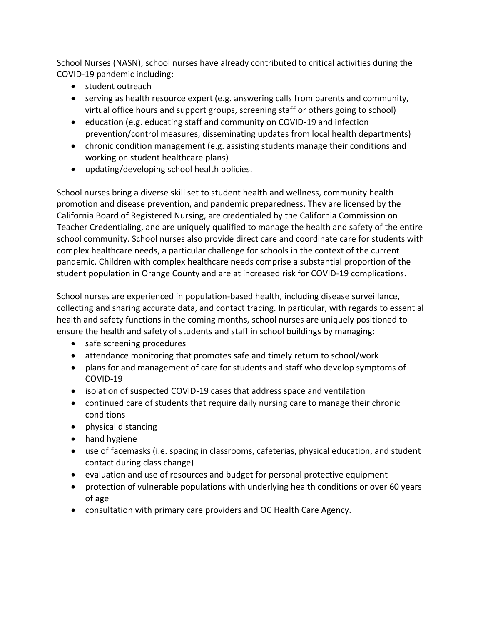School Nurses (NASN), school nurses have already contributed to critical activities during the COVID-19 pandemic including:

- student outreach
- serving as health resource expert (e.g. answering calls from parents and community, virtual office hours and support groups, screening staff or others going to school)
- education (e.g. educating staff and community on COVID-19 and infection prevention/control measures, disseminating updates from local health departments)
- chronic condition management (e.g. assisting students manage their conditions and working on student healthcare plans)
- updating/developing school health policies.

School nurses bring a diverse skill set to student health and wellness, community health promotion and disease prevention, and pandemic preparedness. They are licensed by the California Board of Registered Nursing, are credentialed by the California Commission on Teacher Credentialing, and are uniquely qualified to manage the health and safety of the entire school community. School nurses also provide direct care and coordinate care for students with complex healthcare needs, a particular challenge for schools in the context of the current pandemic. Children with complex healthcare needs comprise a substantial proportion of the student population in Orange County and are at increased risk for COVID-19 complications.

School nurses are experienced in population-based health, including disease surveillance, collecting and sharing accurate data, and contact tracing. In particular, with regards to essential health and safety functions in the coming months, school nurses are uniquely positioned to ensure the health and safety of students and staff in school buildings by managing:

- safe screening procedures
- attendance monitoring that promotes safe and timely return to school/work
- plans for and management of care for students and staff who develop symptoms of COVID-19
- isolation of suspected COVID-19 cases that address space and ventilation
- continued care of students that require daily nursing care to manage their chronic conditions
- physical distancing
- hand hygiene
- use of facemasks (i.e. spacing in classrooms, cafeterias, physical education, and student contact during class change)
- evaluation and use of resources and budget for personal protective equipment
- protection of vulnerable populations with underlying health conditions or over 60 years of age
- consultation with primary care providers and OC Health Care Agency.